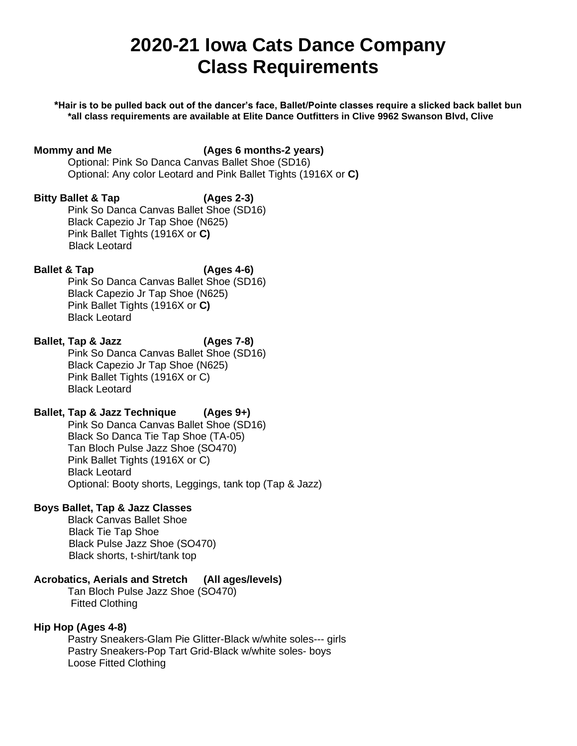# **2020-21 Iowa Cats Dance Company Class Requirements**

**\*Hair is to be pulled back out of the dancer's face, Ballet/Pointe classes require a slicked back ballet bun \*all class requirements are available at Elite Dance Outfitters in Clive 9962 Swanson Blvd, Clive** 

#### **Mommy and Me (Ages 6 months-2 years)**

Optional: Pink So Danca Canvas Ballet Shoe (SD16) Optional: Any color Leotard and Pink Ballet Tights (1916X or **C)**

#### **Bitty Ballet & Tap (Ages 2-3)**

Pink So Danca Canvas Ballet Shoe (SD16) Black Capezio Jr Tap Shoe (N625) Pink Ballet Tights (1916X or **C)** Black Leotard

### **Ballet & Tap (Ages 4-6)**

Pink So Danca Canvas Ballet Shoe (SD16) Black Capezio Jr Tap Shoe (N625) Pink Ballet Tights (1916X or **C)** Black Leotard

# **Ballet, Tap & Jazz (Ages 7-8)**

Pink So Danca Canvas Ballet Shoe (SD16) Black Capezio Jr Tap Shoe (N625) Pink Ballet Tights (1916X or C) Black Leotard

### **Ballet, Tap & Jazz Technique (Ages 9+)**

Pink So Danca Canvas Ballet Shoe (SD16) Black So Danca Tie Tap Shoe (TA-05) Tan Bloch Pulse Jazz Shoe (SO470) Pink Ballet Tights (1916X or C) Black Leotard Optional: Booty shorts, Leggings, tank top (Tap & Jazz)

#### **Boys Ballet, Tap & Jazz Classes**

Black Canvas Ballet Shoe Black Tie Tap Shoe Black Pulse Jazz Shoe (SO470) Black shorts, t-shirt/tank top

#### **Acrobatics, Aerials and Stretch (All ages/levels)**

Tan Bloch Pulse Jazz Shoe (SO470) Fitted Clothing

#### **Hip Hop (Ages 4-8)**

Pastry Sneakers-Glam Pie Glitter-Black w/white soles--- girls Pastry Sneakers-Pop Tart Grid-Black w/white soles- boys Loose Fitted Clothing